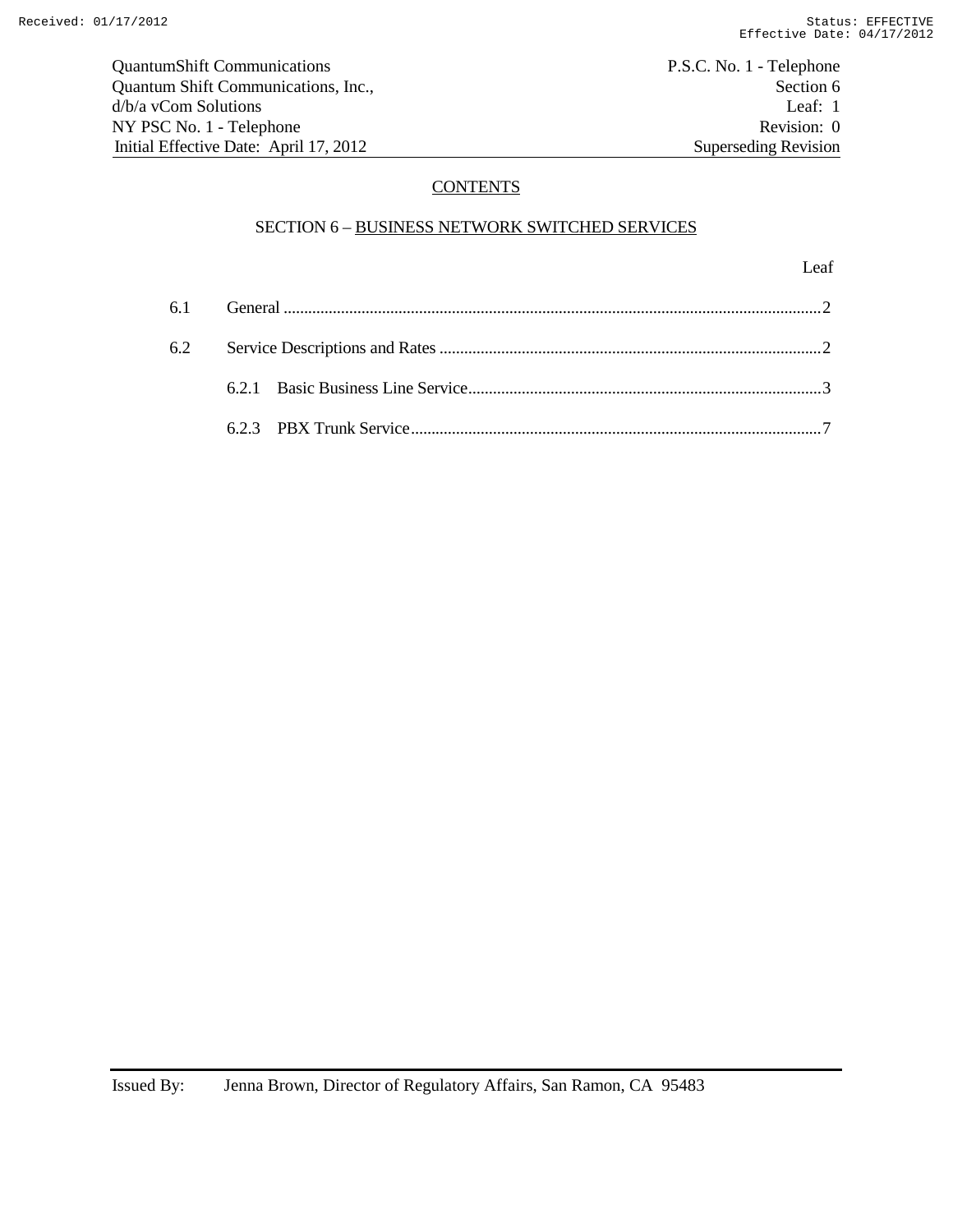QuantumShift Communications P.S.C. No. 1 - Telephone Quantum Shift Communications, Inc.,<br>  $d/b/a$  vCom Solutions<br>
Leaf: 1  $d/b/a$  vCom Solutions NY PSC No. 1 - Telephone Revision: 0<br>
Initial Effective Date: April 17, 2012 Superseding Revision: 0 Initial Effective Date: April 17, 2012

# **CONTENTS**

### SECTION 6 – BUSINESS NETWORK SWITCHED SERVICES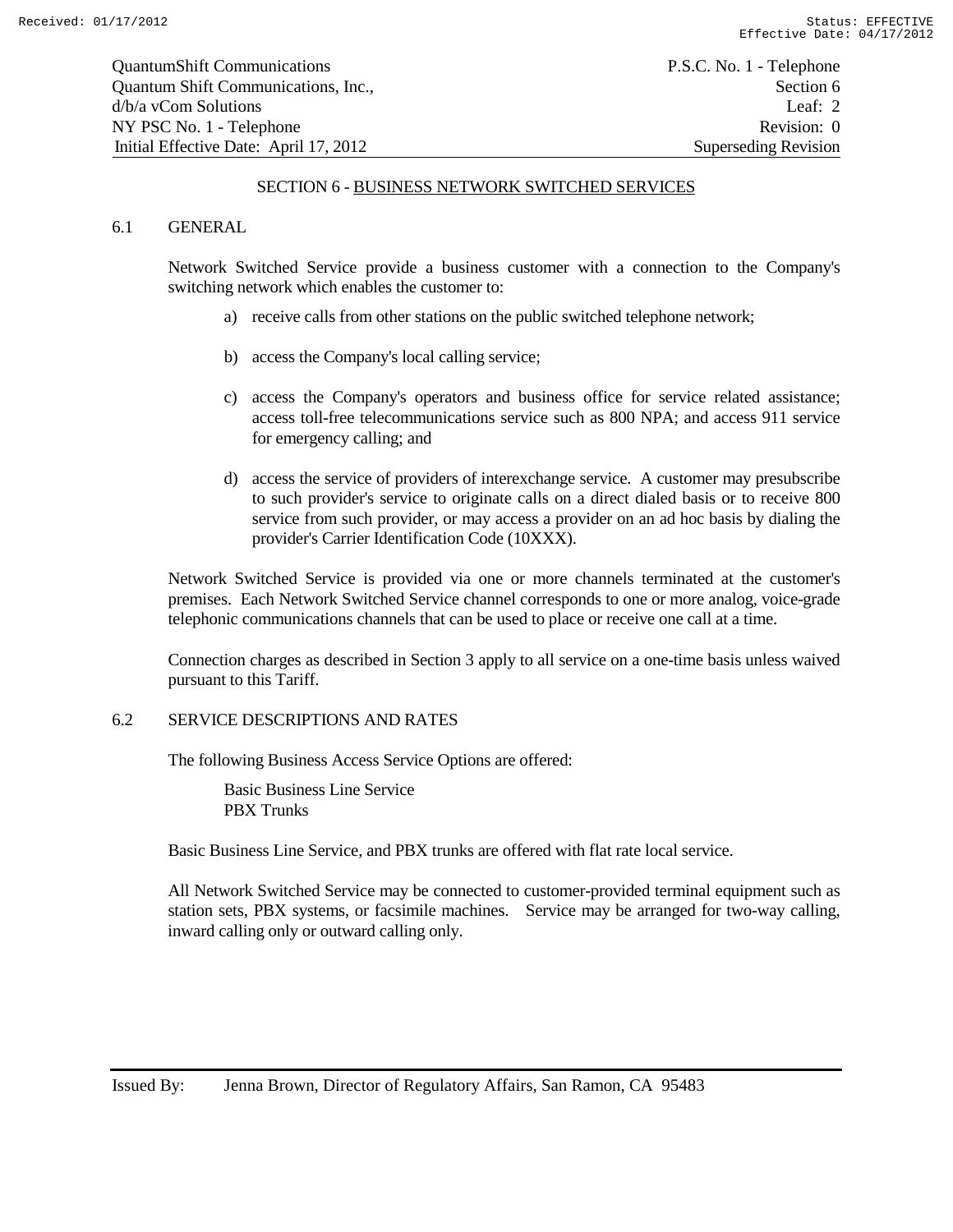QuantumShift Communications P.S.C. No. 1 - Telephone Quantum Shift Communications, Inc., Section 6 d/b/a vCom Solutions Leaf: 2 NY PSC No. 1 - Telephone Revision: 0 Initial Effective Date: April 17, 2012 Superseding Revision

#### SECTION 6 - BUSINESS NETWORK SWITCHED SERVICES

#### 6.1 GENERAL

Network Switched Service provide a business customer with a connection to the Company's switching network which enables the customer to:

- a) receive calls from other stations on the public switched telephone network;
- b) access the Company's local calling service;
- c) access the Company's operators and business office for service related assistance; access toll-free telecommunications service such as 800 NPA; and access 911 service for emergency calling; and
- d) access the service of providers of interexchange service. A customer may presubscribe to such provider's service to originate calls on a direct dialed basis or to receive 800 service from such provider, or may access a provider on an ad hoc basis by dialing the provider's Carrier Identification Code (10XXX).

Network Switched Service is provided via one or more channels terminated at the customer's premises. Each Network Switched Service channel corresponds to one or more analog, voice-grade telephonic communications channels that can be used to place or receive one call at a time.

Connection charges as described in Section 3 apply to all service on a one-time basis unless waived pursuant to this Tariff.

### 6.2 SERVICE DESCRIPTIONS AND RATES

The following Business Access Service Options are offered:

Basic Business Line Service PBX Trunks

Basic Business Line Service, and PBX trunks are offered with flat rate local service.

All Network Switched Service may be connected to customer-provided terminal equipment such as station sets, PBX systems, or facsimile machines. Service may be arranged for two-way calling, inward calling only or outward calling only.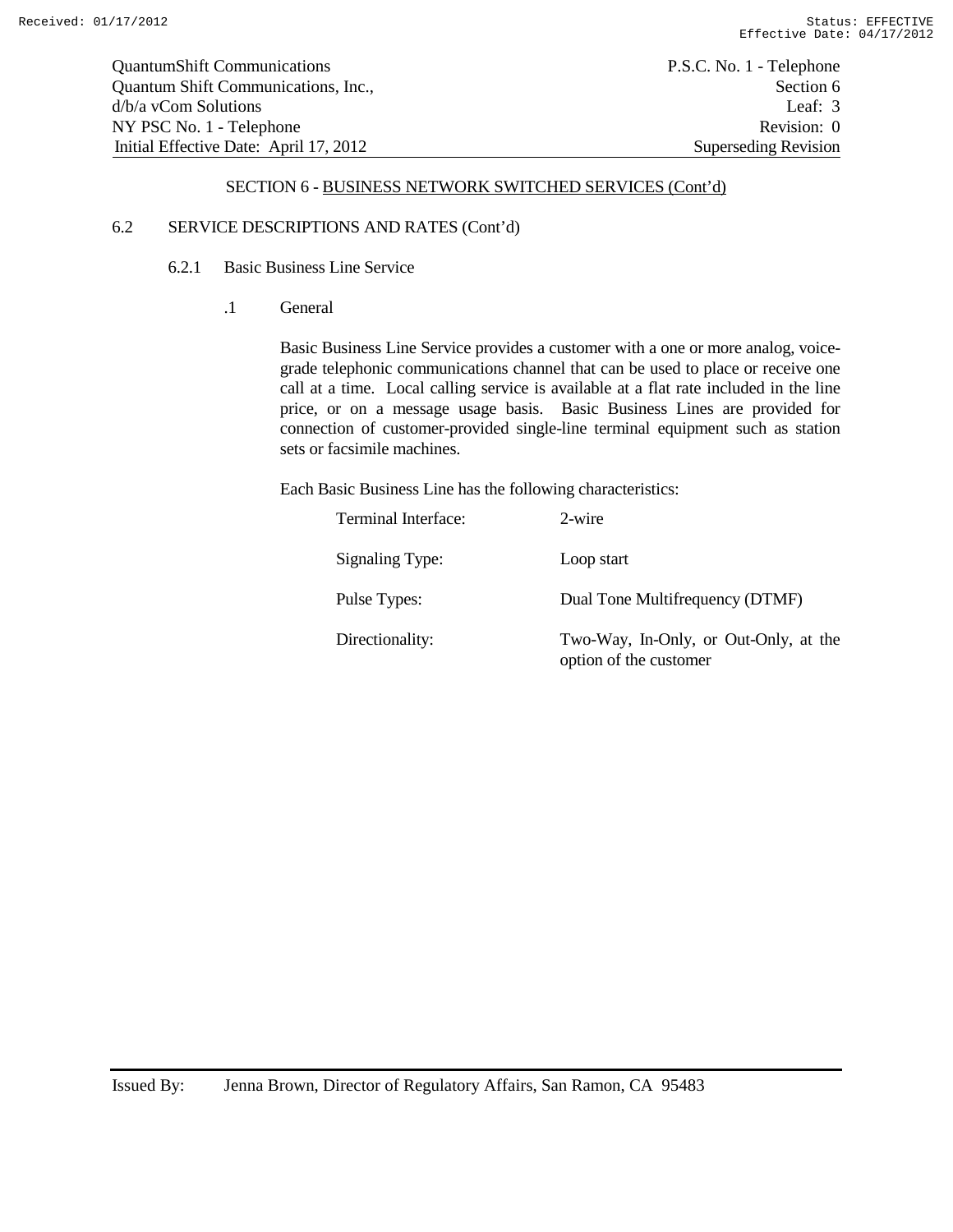QuantumShift Communications P.S.C. No. 1 - Telephone Quantum Shift Communications, Inc.,<br>  $d/b/a$  vCom Solutions<br>
Leaf: 3  $d/b/a$  vCom Solutions NY PSC No. 1 - Telephone Revision: 0 Initial Effective Date: April 17, 2012 Superseding Revision

### SECTION 6 - BUSINESS NETWORK SWITCHED SERVICES (Cont'd)

### 6.2 SERVICE DESCRIPTIONS AND RATES (Cont'd)

- 6.2.1 Basic Business Line Service
	- .1 General

Basic Business Line Service provides a customer with a one or more analog, voicegrade telephonic communications channel that can be used to place or receive one call at a time. Local calling service is available at a flat rate included in the line price, or on a message usage basis. Basic Business Lines are provided for connection of customer-provided single-line terminal equipment such as station sets or facsimile machines.

Each Basic Business Line has the following characteristics:

| Terminal Interface: | 2-wire                                                          |
|---------------------|-----------------------------------------------------------------|
| Signaling Type:     | Loop start                                                      |
| Pulse Types:        | Dual Tone Multifrequency (DTMF)                                 |
| Directionality:     | Two-Way, In-Only, or Out-Only, at the<br>option of the customer |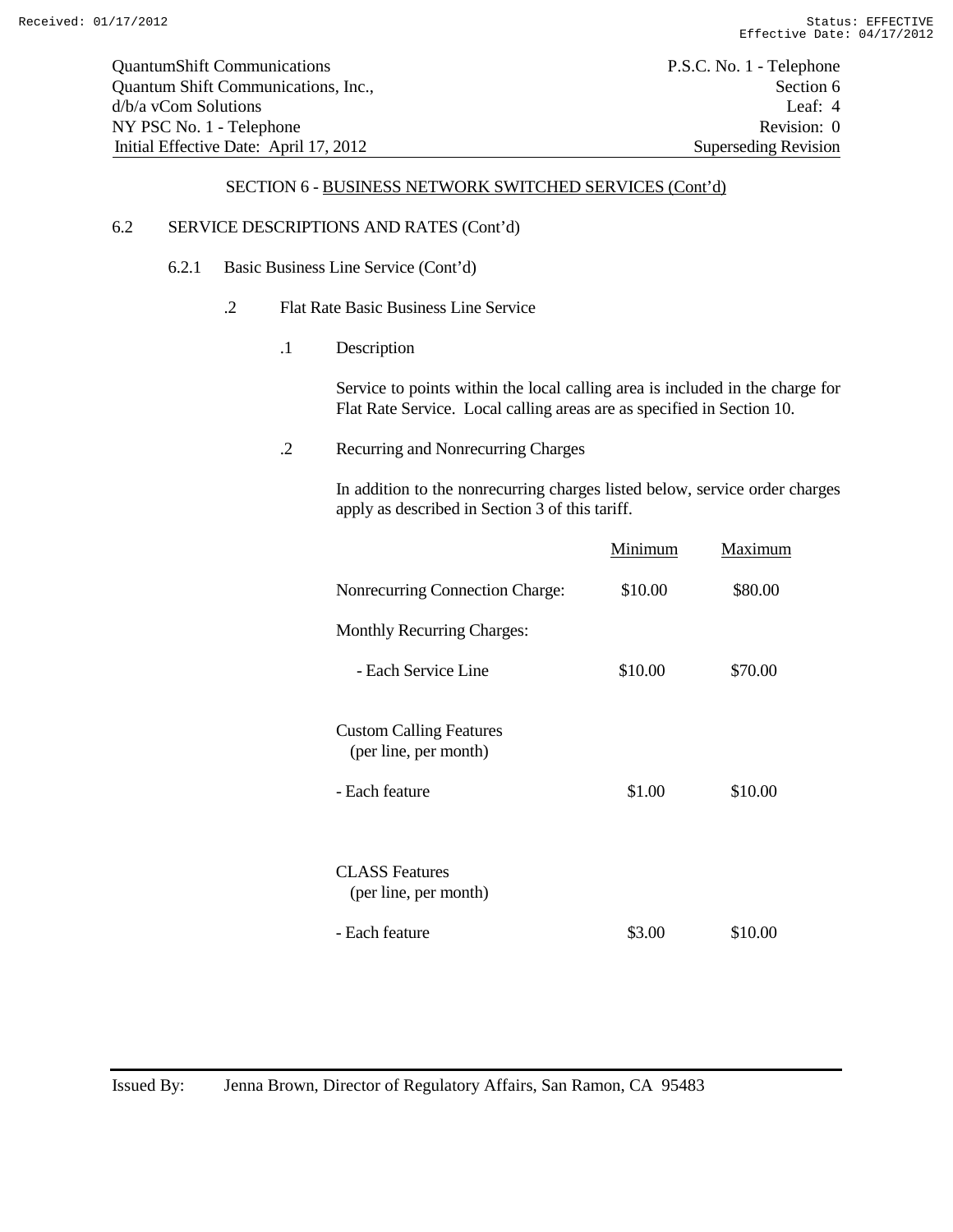QuantumShift Communications P.S.C. No. 1 - Telephone Quantum Shift Communications, Inc.,<br>  $d/b/a$  vCom Solutions<br>
Leaf: 4  $d/b/a$  vCom Solutions NY PSC No. 1 - Telephone Revision: 0 Initial Effective Date: April 17, 2012 Superseding Revision

#### SECTION 6 - BUSINESS NETWORK SWITCHED SERVICES (Cont'd)

### 6.2 SERVICE DESCRIPTIONS AND RATES (Cont'd)

- 6.2.1 Basic Business Line Service (Cont'd)
	- .2 Flat Rate Basic Business Line Service
		- .1 Description

Service to points within the local calling area is included in the charge for Flat Rate Service. Local calling areas are as specified in Section 10.

.2 Recurring and Nonrecurring Charges

In addition to the nonrecurring charges listed below, service order charges apply as described in Section 3 of this tariff.

|                                                                           | Minimum | Maximum |
|---------------------------------------------------------------------------|---------|---------|
| Nonrecurring Connection Charge:                                           | \$10.00 | \$80.00 |
| <b>Monthly Recurring Charges:</b>                                         |         |         |
| - Each Service Line                                                       | \$10.00 | \$70.00 |
| <b>Custom Calling Features</b><br>(per line, per month)<br>- Each feature | \$1.00  | \$10.00 |
| <b>CLASS</b> Features<br>(per line, per month)                            |         |         |
| - Each feature                                                            | \$3.00  | \$10.00 |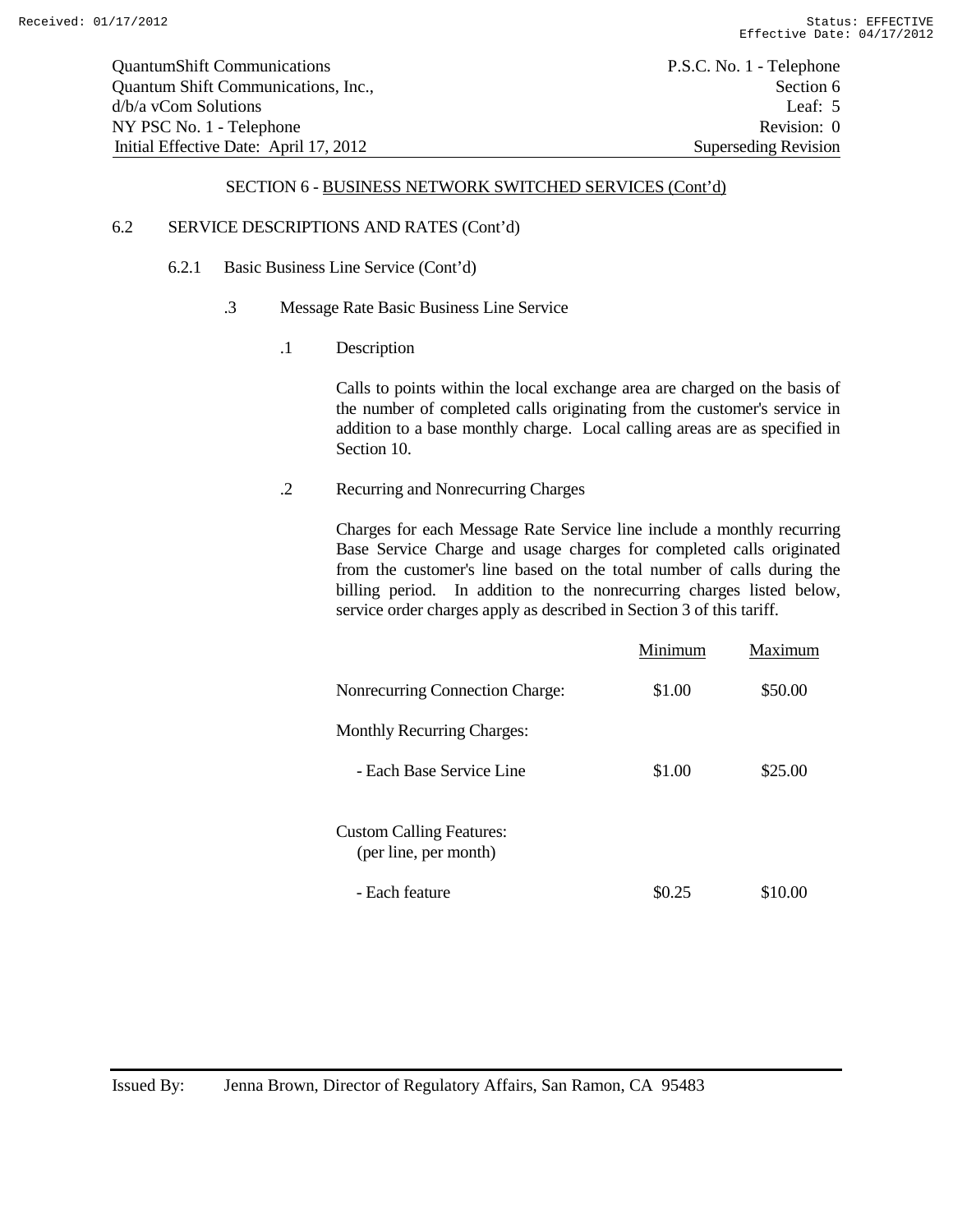QuantumShift Communications P.S.C. No. 1 - Telephone Quantum Shift Communications, Inc.,<br>  $d/b/a$  vCom Solutions<br>
Leaf: 5  $d/b/a$  vCom Solutions NY PSC No. 1 - Telephone Revision: 0 Initial Effective Date: April 17, 2012 Superseding Revision

#### SECTION 6 - BUSINESS NETWORK SWITCHED SERVICES (Cont'd)

### 6.2 SERVICE DESCRIPTIONS AND RATES (Cont'd)

- 6.2.1 Basic Business Line Service (Cont'd)
	- .3 Message Rate Basic Business Line Service
		- .1 Description

Calls to points within the local exchange area are charged on the basis of the number of completed calls originating from the customer's service in addition to a base monthly charge. Local calling areas are as specified in Section 10.

.2 Recurring and Nonrecurring Charges

Charges for each Message Rate Service line include a monthly recurring Base Service Charge and usage charges for completed calls originated from the customer's line based on the total number of calls during the billing period. In addition to the nonrecurring charges listed below, service order charges apply as described in Section 3 of this tariff.

|                                                          | Minimum | Maximum |
|----------------------------------------------------------|---------|---------|
| Nonrecurring Connection Charge:                          | \$1.00  | \$50.00 |
| <b>Monthly Recurring Charges:</b>                        |         |         |
| - Each Base Service Line                                 | \$1.00  | \$25.00 |
| <b>Custom Calling Features:</b><br>(per line, per month) |         |         |
| - Each feature                                           | SO 25   | \$10.00 |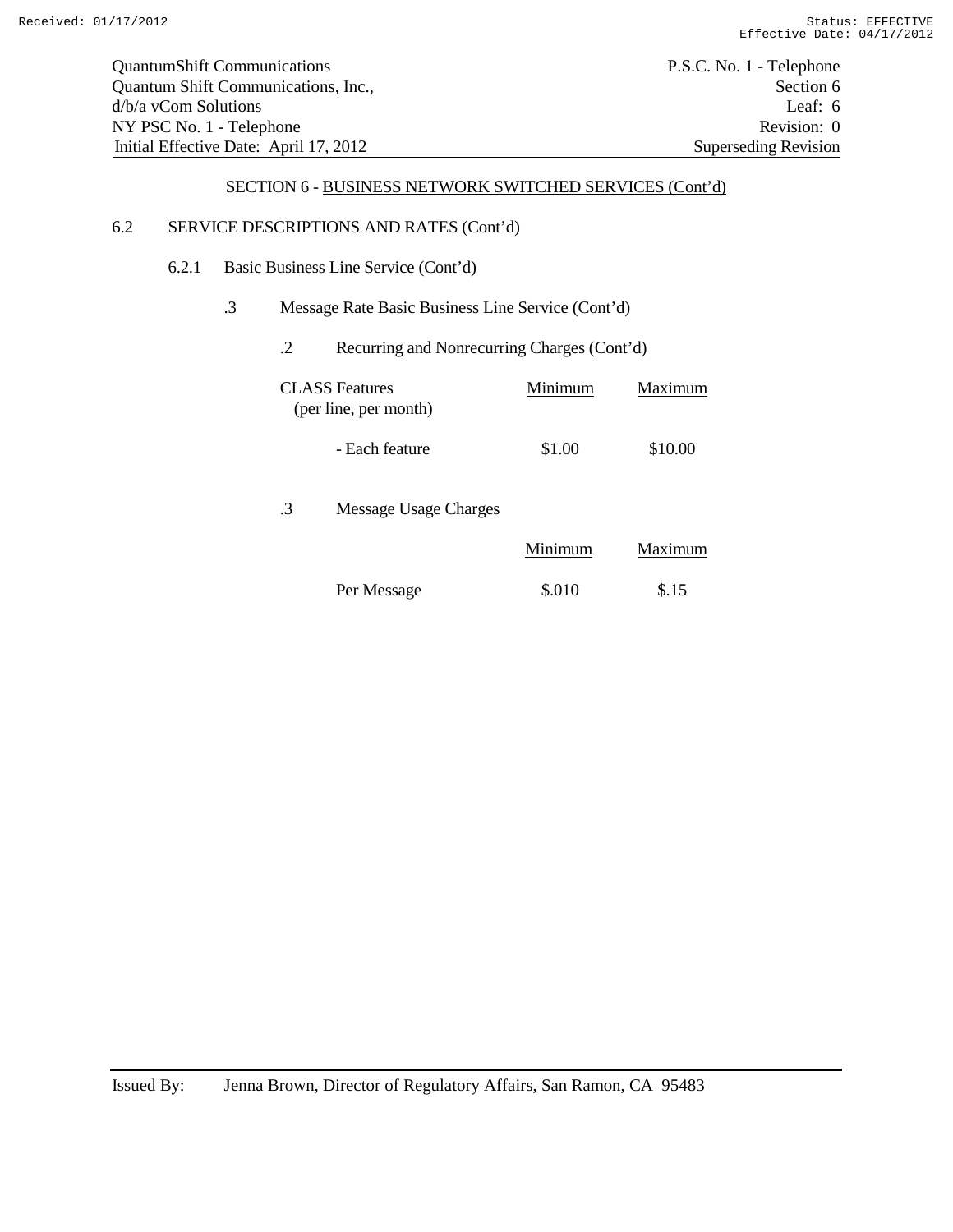QuantumShift Communications P.S.C. No. 1 - Telephone Quantum Shift Communications, Inc.,<br>  $d/b/a$  vCom Solutions<br>
Leaf: 6 d/b/a vCom Solutions NY PSC No. 1 - Telephone Revision: 0<br>
Initial Effective Date: April 17, 2012 Superseding Revision: 0 Initial Effective Date: April 17, 2012

### SECTION 6 - BUSINESS NETWORK SWITCHED SERVICES (Cont'd)

## 6.2 SERVICE DESCRIPTIONS AND RATES (Cont'd)

- 6.2.1 Basic Business Line Service (Cont'd)
	- .3 Message Rate Basic Business Line Service (Cont'd)
		- .2 Recurring and Nonrecurring Charges (Cont'd)

| <b>CLASS Features</b><br>(per line, per month) | Minimum | Maximum |
|------------------------------------------------|---------|---------|
| - Each feature                                 | \$1.00  | \$10.00 |

.3 Message Usage Charges

|             | Minimum | Maximum |
|-------------|---------|---------|
| Per Message | \$.010  | \$.15   |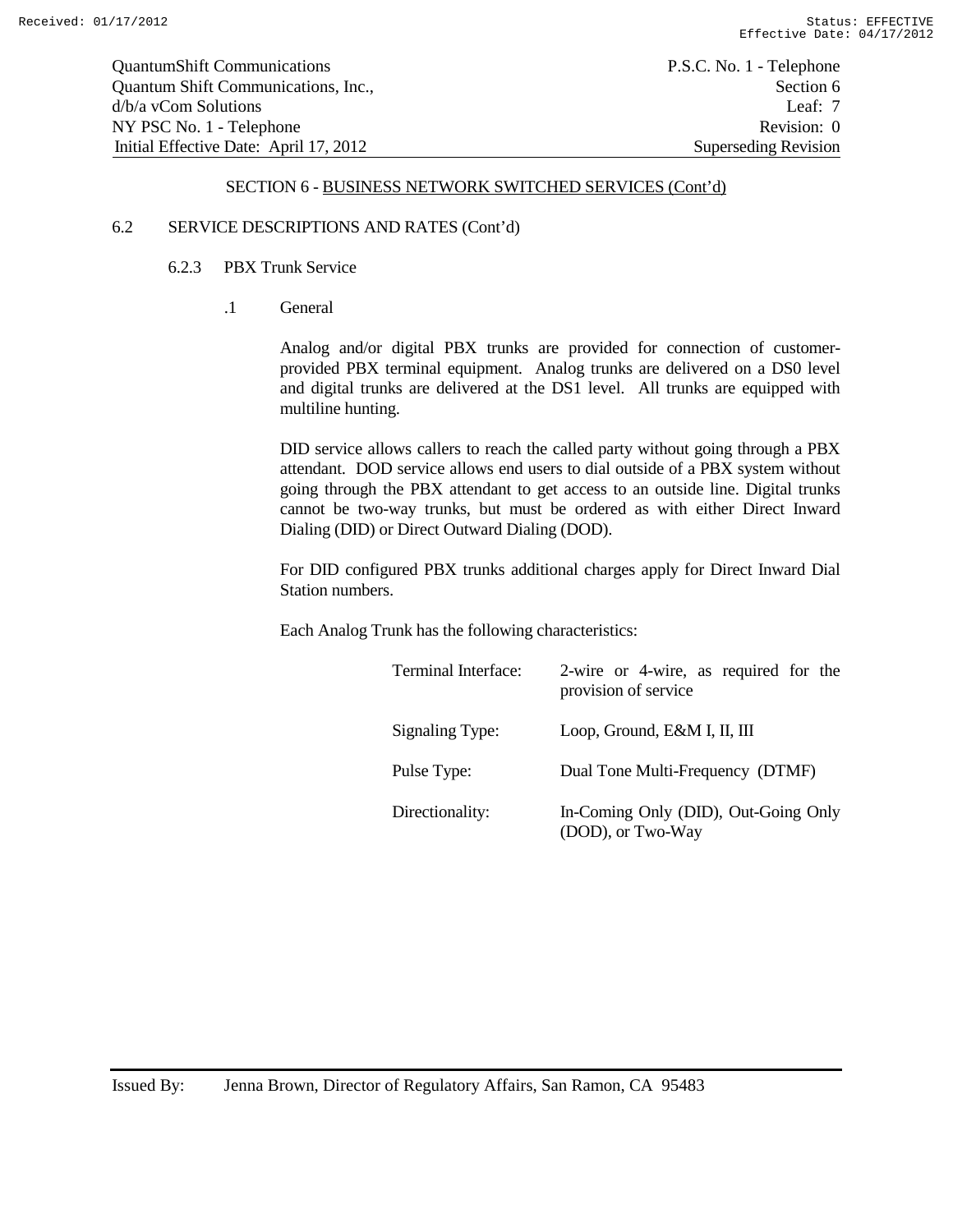QuantumShift Communications P.S.C. No. 1 - Telephone Quantum Shift Communications, Inc., d/b/a vCom Solutions Leaf: 7 NY PSC No. 1 - Telephone Revision: 0 Initial Effective Date: April 17, 2012 Superseding Revision

#### SECTION 6 - BUSINESS NETWORK SWITCHED SERVICES (Cont'd)

### 6.2 SERVICE DESCRIPTIONS AND RATES (Cont'd)

- 6.2.3 PBX Trunk Service
	- .1 General

Analog and/or digital PBX trunks are provided for connection of customerprovided PBX terminal equipment. Analog trunks are delivered on a DS0 level and digital trunks are delivered at the DS1 level. All trunks are equipped with multiline hunting.

DID service allows callers to reach the called party without going through a PBX attendant. DOD service allows end users to dial outside of a PBX system without going through the PBX attendant to get access to an outside line. Digital trunks cannot be two-way trunks, but must be ordered as with either Direct Inward Dialing (DID) or Direct Outward Dialing (DOD).

For DID configured PBX trunks additional charges apply for Direct Inward Dial Station numbers.

Each Analog Trunk has the following characteristics:

| Terminal Interface: | 2-wire or 4-wire, as required for the<br>provision of service |
|---------------------|---------------------------------------------------------------|
| Signaling Type:     | Loop, Ground, E&M I, II, III                                  |
| Pulse Type:         | Dual Tone Multi-Frequency (DTMF)                              |
| Directionality:     | In-Coming Only (DID), Out-Going Only<br>(DOD), or Two-Way     |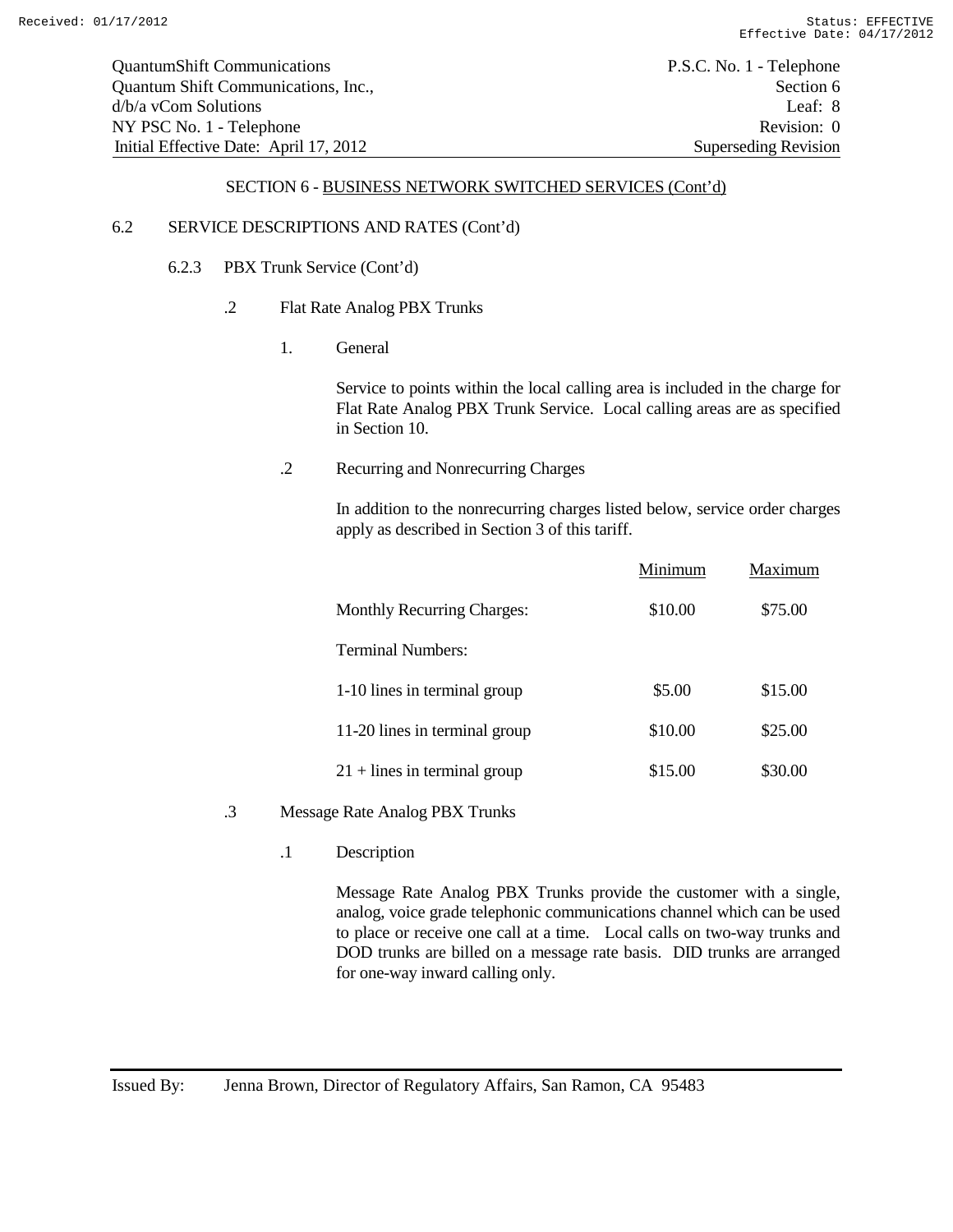QuantumShift Communications P.S.C. No. 1 - Telephone Quantum Shift Communications, Inc.,<br>  $d/h/a$  vCom Solutions<br>
Leaf: 8  $d/b/a$  vCom Solutions NY PSC No. 1 - Telephone Revision: 0 Initial Effective Date: April 17, 2012 Superseding Revision

#### SECTION 6 - BUSINESS NETWORK SWITCHED SERVICES (Cont'd)

### 6.2 SERVICE DESCRIPTIONS AND RATES (Cont'd)

- 6.2.3 PBX Trunk Service (Cont'd)
	- .2 Flat Rate Analog PBX Trunks
		- 1. General

Service to points within the local calling area is included in the charge for Flat Rate Analog PBX Trunk Service. Local calling areas are as specified in Section 10.

.2 Recurring and Nonrecurring Charges

In addition to the nonrecurring charges listed below, service order charges apply as described in Section 3 of this tariff.

|                                   | Minimum | Maximum |
|-----------------------------------|---------|---------|
| <b>Monthly Recurring Charges:</b> | \$10.00 | \$75.00 |
| <b>Terminal Numbers:</b>          |         |         |
| 1-10 lines in terminal group      | \$5.00  | \$15.00 |
| 11-20 lines in terminal group     | \$10.00 | \$25.00 |
| $21 +$ lines in terminal group    | \$15.00 | \$30.00 |
|                                   |         |         |

- .3 Message Rate Analog PBX Trunks
	- .1 Description

Message Rate Analog PBX Trunks provide the customer with a single, analog, voice grade telephonic communications channel which can be used to place or receive one call at a time. Local calls on two-way trunks and DOD trunks are billed on a message rate basis. DID trunks are arranged for one-way inward calling only.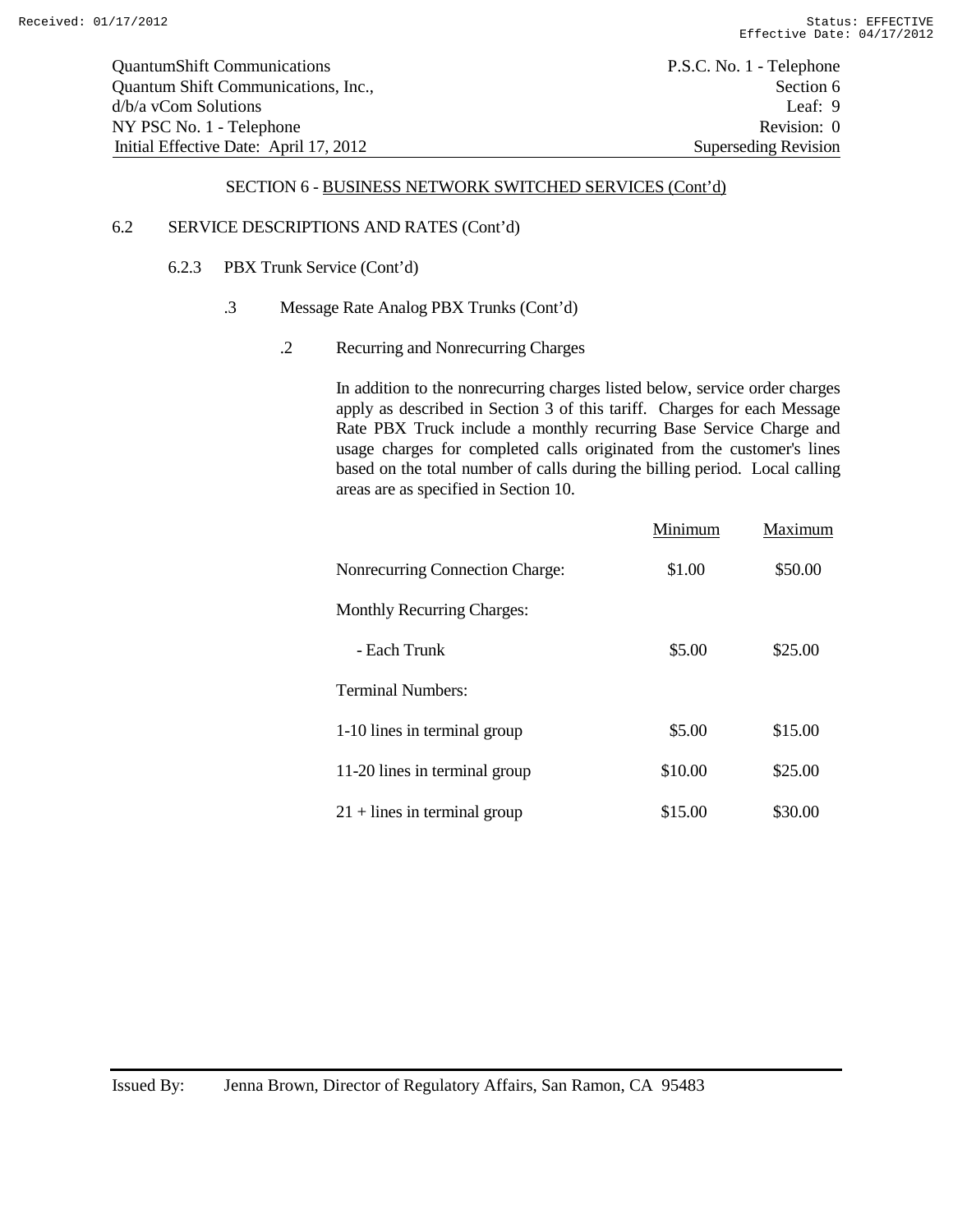QuantumShift Communications P.S.C. No. 1 - Telephone Quantum Shift Communications, Inc.,<br>  $d/b/a$  vCom Solutions<br>
Leaf: 9  $d/b/a$  vCom Solutions NY PSC No. 1 - Telephone Revision: 0 Initial Effective Date: April 17, 2012 Superseding Revision

### SECTION 6 - BUSINESS NETWORK SWITCHED SERVICES (Cont'd)

### 6.2 SERVICE DESCRIPTIONS AND RATES (Cont'd)

- 6.2.3 PBX Trunk Service (Cont'd)
	- .3 Message Rate Analog PBX Trunks (Cont'd)
		- .2 Recurring and Nonrecurring Charges

In addition to the nonrecurring charges listed below, service order charges apply as described in Section 3 of this tariff. Charges for each Message Rate PBX Truck include a monthly recurring Base Service Charge and usage charges for completed calls originated from the customer's lines based on the total number of calls during the billing period. Local calling areas are as specified in Section 10.

|                                   | Minimum | Maximum |
|-----------------------------------|---------|---------|
| Nonrecurring Connection Charge:   | \$1.00  | \$50.00 |
| <b>Monthly Recurring Charges:</b> |         |         |
| - Each Trunk                      | \$5.00  | \$25.00 |
| <b>Terminal Numbers:</b>          |         |         |
| 1-10 lines in terminal group      | \$5.00  | \$15.00 |
| 11-20 lines in terminal group     | \$10.00 | \$25.00 |
| $21 +$ lines in terminal group    | \$15.00 | \$30.00 |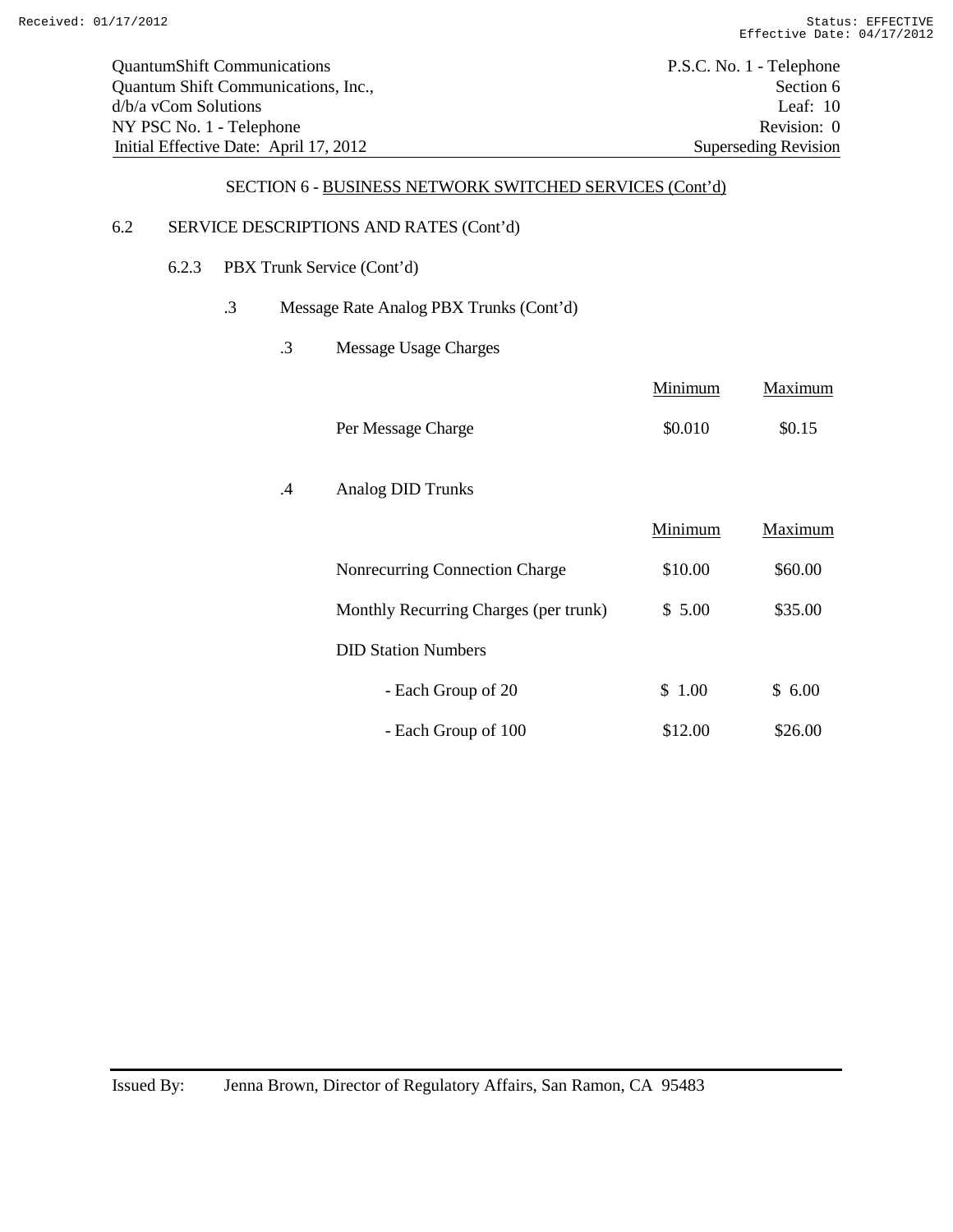QuantumShift Communications P.S.C. No. 1 - Telephone Quantum Shift Communications, Inc.,<br>  $d/b/a$  vCom Solutions<br>
Leaf: 10 d/b/a vCom Solutions NY PSC No. 1 - Telephone Revision: 0<br>
Initial Effective Date: April 17, 2012 Superseding Revision: 0 Initial Effective Date: April 17, 2012

### SECTION 6 - BUSINESS NETWORK SWITCHED SERVICES (Cont'd)

## 6.2 SERVICE DESCRIPTIONS AND RATES (Cont'd)

6.2.3 PBX Trunk Service (Cont'd)

| .3<br>Message Rate Analog PBX Trunks (Cont'd) |  |  |  |
|-----------------------------------------------|--|--|--|
|-----------------------------------------------|--|--|--|

.3 Message Usage Charges

|                    | Minimum | Maximum |
|--------------------|---------|---------|
| Per Message Charge | \$0.010 | \$0.15  |

.4 Analog DID Trunks

|                                       | Minimum | Maximum |
|---------------------------------------|---------|---------|
| Nonrecurring Connection Charge        | \$10.00 | \$60.00 |
| Monthly Recurring Charges (per trunk) | \$5.00  | \$35.00 |
| <b>DID Station Numbers</b>            |         |         |
| - Each Group of 20                    | \$1.00  | \$6.00  |
| - Each Group of 100                   | \$12.00 | \$26.00 |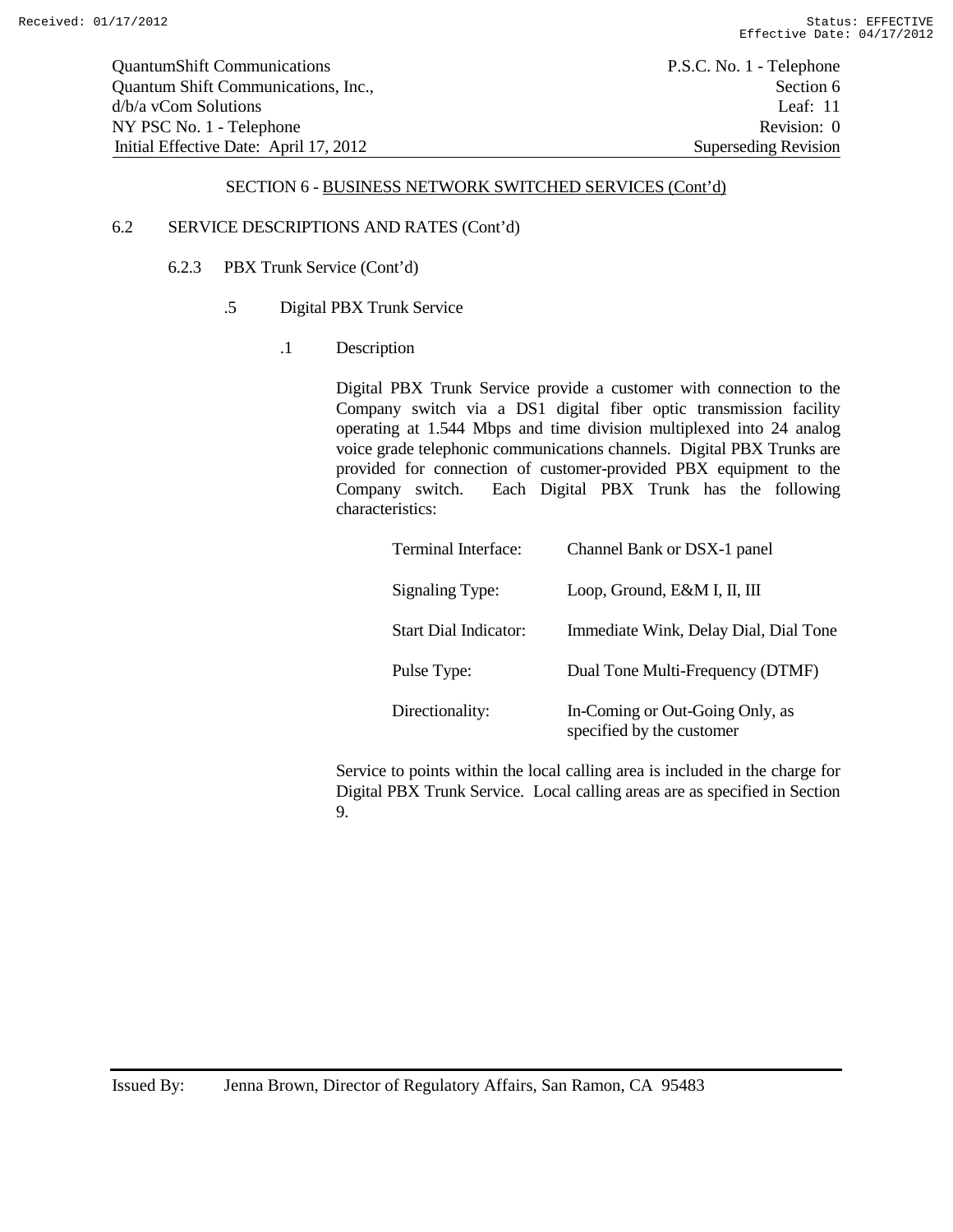QuantumShift Communications P.S.C. No. 1 - Telephone Quantum Shift Communications, Inc.,<br>  $d/b/a$  vCom Solutions<br>
Leaf: 11  $d/b/a$  vCom Solutions NY PSC No. 1 - Telephone Revision: 0 Initial Effective Date: April 17, 2012 Superseding Revision

#### SECTION 6 - BUSINESS NETWORK SWITCHED SERVICES (Cont'd)

### 6.2 SERVICE DESCRIPTIONS AND RATES (Cont'd)

- 6.2.3 PBX Trunk Service (Cont'd)
	- .5 Digital PBX Trunk Service
		- .1 Description

Digital PBX Trunk Service provide a customer with connection to the Company switch via a DS1 digital fiber optic transmission facility operating at 1.544 Mbps and time division multiplexed into 24 analog voice grade telephonic communications channels. Digital PBX Trunks are provided for connection of customer-provided PBX equipment to the Company switch. Each Digital PBX Trunk has the following characteristics:

| Terminal Interface:   | Channel Bank or DSX-1 panel                                  |
|-----------------------|--------------------------------------------------------------|
| Signaling Type:       | Loop, Ground, E&M I, II, III                                 |
| Start Dial Indicator: | Immediate Wink, Delay Dial, Dial Tone                        |
| Pulse Type:           | Dual Tone Multi-Frequency (DTMF)                             |
| Directionality:       | In-Coming or Out-Going Only, as<br>specified by the customer |

Service to points within the local calling area is included in the charge for Digital PBX Trunk Service. Local calling areas are as specified in Section 9.